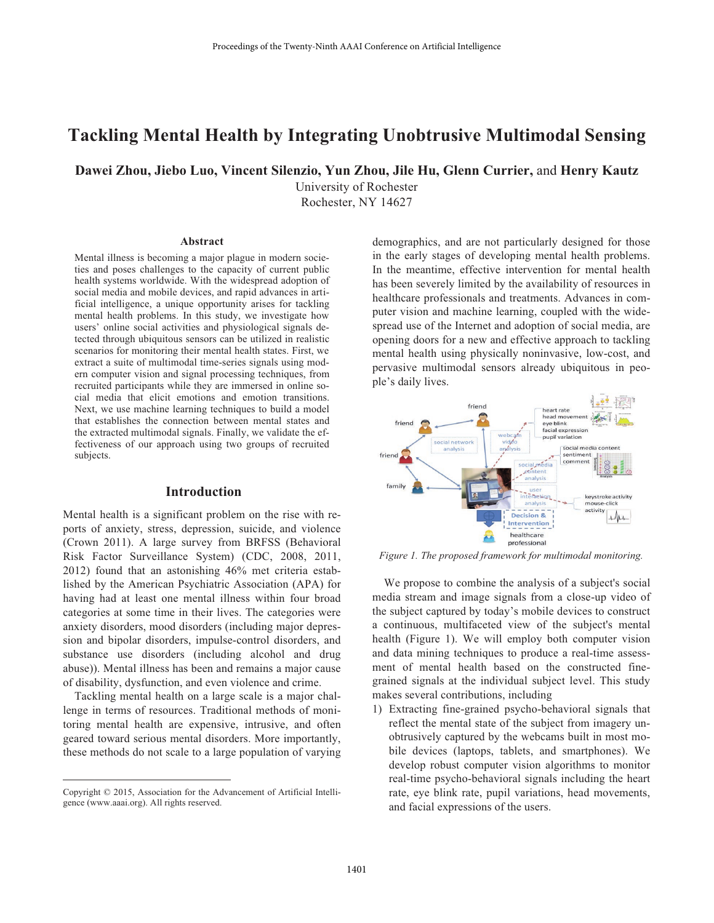# **Tackling Mental Health by Integrating Unobtrusive Multimodal Sensing**

**Dawei Zhou, Jiebo Luo, Vincent Silenzio, Yun Zhou, Jile Hu, Glenn Currier,** and **Henry Kautz**

University of Rochester Rochester, NY 14627

#### **Abstract**

Mental illness is becoming a major plague in modern societies and poses challenges to the capacity of current public health systems worldwide. With the widespread adoption of social media and mobile devices, and rapid advances in artificial intelligence, a unique opportunity arises for tackling mental health problems. In this study, we investigate how users' online social activities and physiological signals detected through ubiquitous sensors can be utilized in realistic scenarios for monitoring their mental health states. First, we extract a suite of multimodal time-series signals using modern computer vision and signal processing techniques, from recruited participants while they are immersed in online social media that elicit emotions and emotion transitions. Next, we use machine learning techniques to build a model that establishes the connection between mental states and the extracted multimodal signals. Finally, we validate the effectiveness of our approach using two groups of recruited subjects.

#### **Introduction**

Mental health is a significant problem on the rise with reports of anxiety, stress, depression, suicide, and violence (Crown 2011). A large survey from BRFSS (Behavioral Risk Factor Surveillance System) (CDC, 2008, 2011, 2012) found that an astonishing 46% met criteria established by the American Psychiatric Association (APA) for having had at least one mental illness within four broad categories at some time in their lives. The categories were anxiety disorders, mood disorders (including major depression and bipolar disorders, impulse-control disorders, and substance use disorders (including alcohol and drug abuse)). Mental illness has been and remains a major cause of disability, dysfunction, and even violence and crime.

Tackling mental health on a large scale is a major challenge in terms of resources. Traditional methods of monitoring mental health are expensive, intrusive, and often geared toward serious mental disorders. More importantly, these methods do not scale to a large population of varying demographics, and are not particularly designed for those in the early stages of developing mental health problems. In the meantime, effective intervention for mental health has been severely limited by the availability of resources in healthcare professionals and treatments. Advances in computer vision and machine learning, coupled with the widespread use of the Internet and adoption of social media, are opening doors for a new and effective approach to tackling mental health using physically noninvasive, low-cost, and pervasive multimodal sensors already ubiquitous in people's daily lives.



*Figure 1. The proposed framework for multimodal monitoring.*

 We propose to combine the analysis of a subject's social media stream and image signals from a close-up video of the subject captured by today's mobile devices to construct a continuous, multifaceted view of the subject's mental health (Figure 1). We will employ both computer vision and data mining techniques to produce a real-time assessment of mental health based on the constructed finegrained signals at the individual subject level. This study makes several contributions, including

1) Extracting fine-grained psycho-behavioral signals that reflect the mental state of the subject from imagery unobtrusively captured by the webcams built in most mobile devices (laptops, tablets, and smartphones). We develop robust computer vision algorithms to monitor real-time psycho-behavioral signals including the heart rate, eye blink rate, pupil variations, head movements, and facial expressions of the users.

Copyright © 2015, Association for the Advancement of Artificial Intelligence (www.aaai.org). All rights reserved.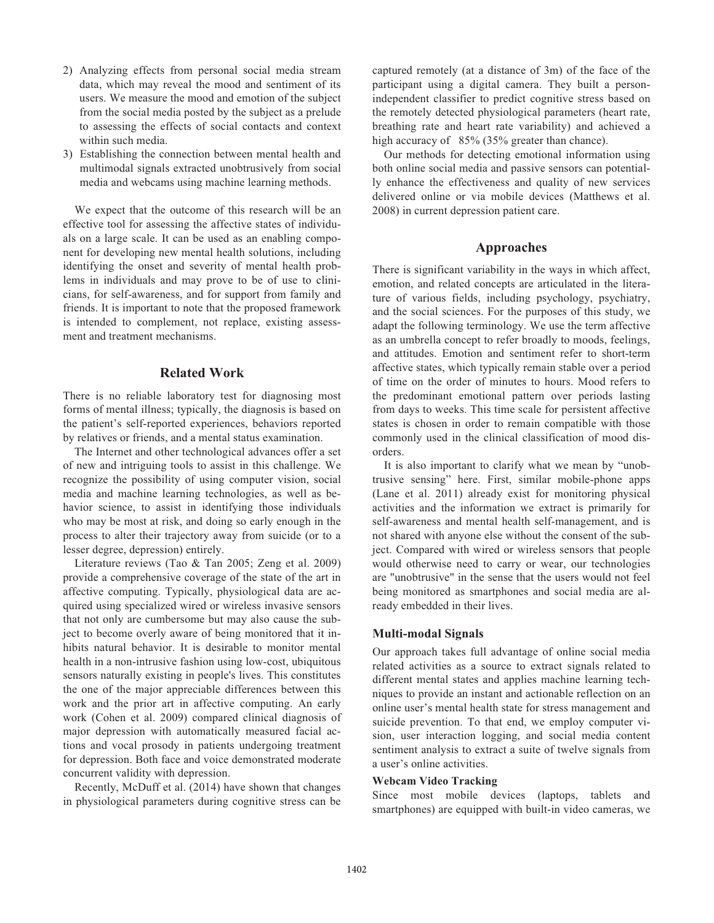- 2) Analyzing effects from personal social media stream data, which may reveal the mood and sentiment of its users. We measure the mood and emotion of the subject from the social media posted by the subject as a prelude to assessing the effects of social contacts and context within such media.
- 3) Establishing the connection between mental health and multimodal signals extracted unobtrusively from social media and webcams using machine learning methods.

 We expect that the outcome of this research will be an effective tool for assessing the affective states of individuals on a large scale. It can be used as an enabling component for developing new mental health solutions, including identifying the onset and severity of mental health problems in individuals and may prove to be of use to clinicians, for self-awareness, and for support from family and friends. It is important to note that the proposed framework is intended to complement, not replace, existing assessment and treatment mechanisms.

# **Related Work**

There is no reliable laboratory test for diagnosing most forms of mental illness; typically, the diagnosis is based on the patient's self-reported experiences, behaviors reported by relatives or friends, and a mental status examination.

 The Internet and other technological advances offer a set of new and intriguing tools to assist in this challenge. We recognize the possibility of using computer vision, social media and machine learning technologies, as well as behavior science, to assist in identifying those individuals who may be most at risk, and doing so early enough in the process to alter their trajectory away from suicide (or to a lesser degree, depression) entirely.

 Literature reviews (Tao & Tan 2005; Zeng et al. 2009) provide a comprehensive coverage of the state of the art in affective computing. Typically, physiological data are acquired using specialized wired or wireless invasive sensors that not only are cumbersome but may also cause the subject to become overly aware of being monitored that it inhibits natural behavior. It is desirable to monitor mental health in a non-intrusive fashion using low-cost, ubiquitous sensors naturally existing in people's lives. This constitutes the one of the major appreciable differences between this work and the prior art in affective computing. An early work (Cohen et al. 2009) compared clinical diagnosis of major depression with automatically measured facial actions and vocal prosody in patients undergoing treatment for depression. Both face and voice demonstrated moderate concurrent validity with depression.

 Recently, McDuff et al. (2014) have shown that changes in physiological parameters during cognitive stress can be captured remotely (at a distance of 3m) of the face of the participant using a digital camera. They built a personindependent classifier to predict cognitive stress based on the remotely detected physiological parameters (heart rate, breathing rate and heart rate variability) and achieved a high accuracy of 85% (35% greater than chance).

 Our methods for detecting emotional information using both online social media and passive sensors can potentially enhance the effectiveness and quality of new services delivered online or via mobile devices (Matthews et al. 2008) in current depression patient care.

# **Approaches**

There is significant variability in the ways in which affect, emotion, and related concepts are articulated in the literature of various fields, including psychology, psychiatry, and the social sciences. For the purposes of this study, we adapt the following terminology. We use the term affective as an umbrella concept to refer broadly to moods, feelings, and attitudes. Emotion and sentiment refer to short-term affective states, which typically remain stable over a period of time on the order of minutes to hours. Mood refers to the predominant emotional pattern over periods lasting from days to weeks. This time scale for persistent affective states is chosen in order to remain compatible with those commonly used in the clinical classification of mood disorders.

 It is also important to clarify what we mean by "unobtrusive sensing" here. First, similar mobile-phone apps (Lane et al. 2011) already exist for monitoring physical activities and the information we extract is primarily for self-awareness and mental health self-management, and is not shared with anyone else without the consent of the subject. Compared with wired or wireless sensors that people would otherwise need to carry or wear, our technologies are "unobtrusive" in the sense that the users would not feel being monitored as smartphones and social media are already embedded in their lives.

# **Multi-modal Signals**

Our approach takes full advantage of online social media related activities as a source to extract signals related to different mental states and applies machine learning techniques to provide an instant and actionable reflection on an online user's mental health state for stress management and suicide prevention. To that end, we employ computer vision, user interaction logging, and social media content sentiment analysis to extract a suite of twelve signals from a user's online activities.

# **Webcam Video Tracking**

Since most mobile devices (laptops, tablets and smartphones) are equipped with built-in video cameras, we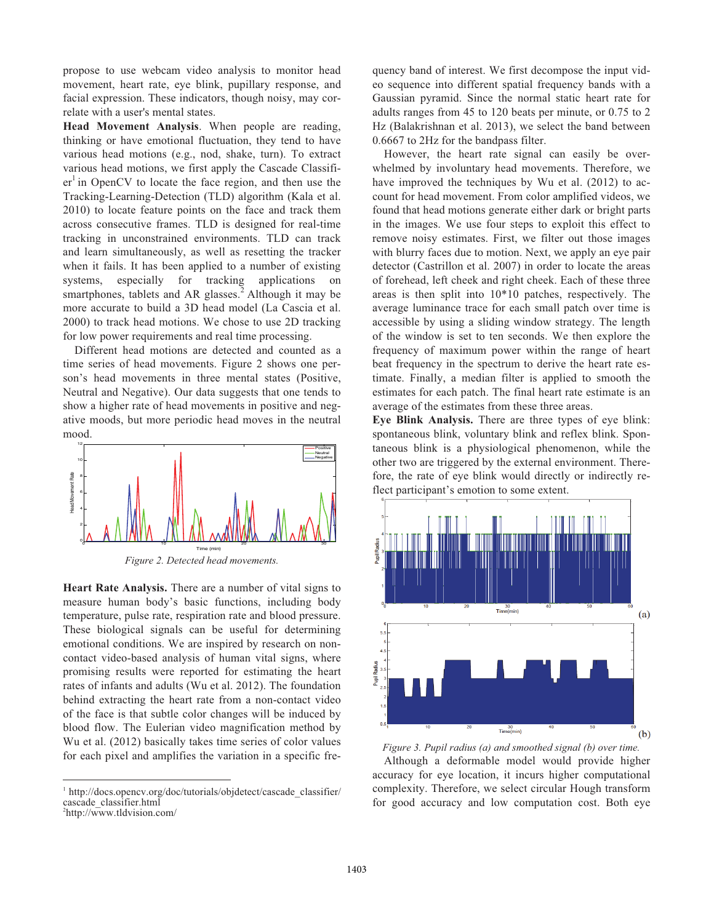propose to use webcam video analysis to monitor head movement, heart rate, eye blink, pupillary response, and facial expression. These indicators, though noisy, may correlate with a user's mental states.

**Head Movement Analysis**. When people are reading, thinking or have emotional fluctuation, they tend to have various head motions (e.g., nod, shake, turn). To extract various head motions, we first apply the Cascade Classifi $er<sup>1</sup>$  in OpenCV to locate the face region, and then use the Tracking-Learning-Detection (TLD) algorithm (Kala et al. 2010) to locate feature points on the face and track them across consecutive frames. TLD is designed for real-time tracking in unconstrained environments. TLD can track and learn simultaneously, as well as resetting the tracker when it fails. It has been applied to a number of existing systems, especially for tracking applications on smartphones, tablets and AR glasses.<sup>2</sup> Although it may be more accurate to build a 3D head model (La Cascia et al. 2000) to track head motions. We chose to use 2D tracking for low power requirements and real time processing.

 Different head motions are detected and counted as a time series of head movements. Figure 2 shows one person's head movements in three mental states (Positive, Neutral and Negative). Our data suggests that one tends to show a higher rate of head movements in positive and negative moods, but more periodic head moves in the neutral mood.



*Figure 2. Detected head movements.*

**Heart Rate Analysis.** There are a number of vital signs to measure human body's basic functions, including body temperature, pulse rate, respiration rate and blood pressure. These biological signals can be useful for determining emotional conditions. We are inspired by research on noncontact video-based analysis of human vital signs, where promising results were reported for estimating the heart rates of infants and adults (Wu et al. 2012). The foundation behind extracting the heart rate from a non-contact video of the face is that subtle color changes will be induced by blood flow. The Eulerian video magnification method by Wu et al. (2012) basically takes time series of color values for each pixel and amplifies the variation in a specific fre-

 $\overline{a}$ 

quency band of interest. We first decompose the input video sequence into different spatial frequency bands with a Gaussian pyramid. Since the normal static heart rate for adults ranges from 45 to 120 beats per minute, or 0.75 to 2 Hz (Balakrishnan et al. 2013), we select the band between 0.6667 to 2Hz for the bandpass filter.

 However, the heart rate signal can easily be overwhelmed by involuntary head movements. Therefore, we have improved the techniques by Wu et al. (2012) to account for head movement. From color amplified videos, we found that head motions generate either dark or bright parts in the images. We use four steps to exploit this effect to remove noisy estimates. First, we filter out those images with blurry faces due to motion. Next, we apply an eye pair detector (Castrillon et al. 2007) in order to locate the areas of forehead, left cheek and right cheek. Each of these three areas is then split into 10\*10 patches, respectively. The average luminance trace for each small patch over time is accessible by using a sliding window strategy. The length of the window is set to ten seconds. We then explore the frequency of maximum power within the range of heart beat frequency in the spectrum to derive the heart rate estimate. Finally, a median filter is applied to smooth the estimates for each patch. The final heart rate estimate is an average of the estimates from these three areas.

**Eye Blink Analysis.** There are three types of eye blink: spontaneous blink, voluntary blink and reflex blink. Spontaneous blink is a physiological phenomenon, while the other two are triggered by the external environment. Therefore, the rate of eye blink would directly or indirectly reflect participant's emotion to some extent.



*Figure 3. Pupil radius (a) and smoothed signal (b) over time.*  Although a deformable model would provide higher accuracy for eye location, it incurs higher computational complexity. Therefore, we select circular Hough transform for good accuracy and low computation cost. Both eye

<sup>&</sup>lt;sup>1</sup> http://docs.opencv.org/doc/tutorials/objdetect/cascade\_classifier/ cascade\_classifier.html

<sup>2</sup> http://www.tldvision.com/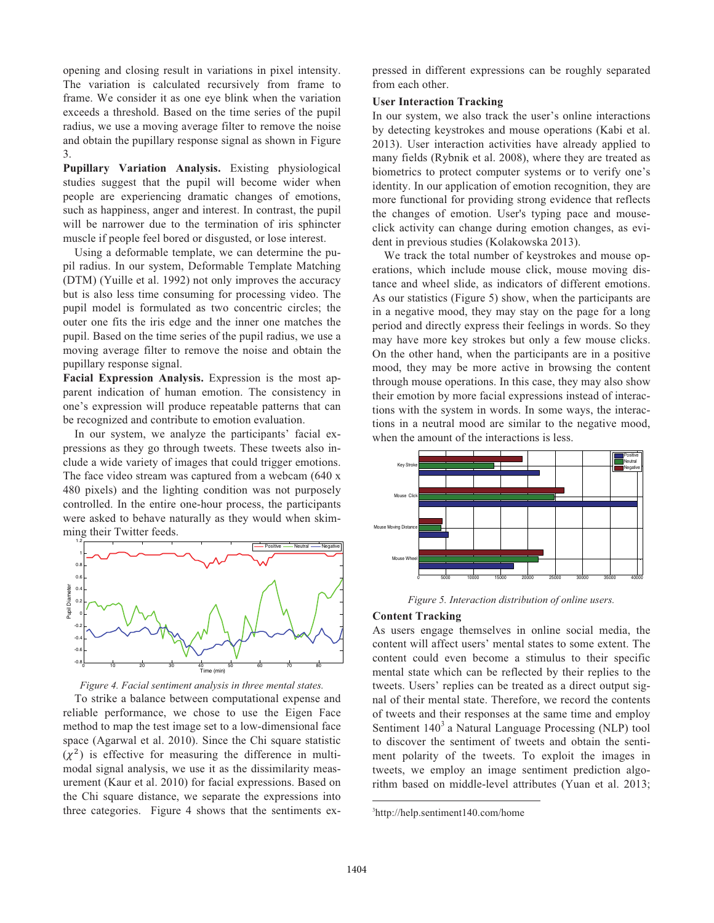opening and closing result in variations in pixel intensity. The variation is calculated recursively from frame to frame. We consider it as one eye blink when the variation exceeds a threshold. Based on the time series of the pupil radius, we use a moving average filter to remove the noise and obtain the pupillary response signal as shown in Figure 3.

**Pupillary Variation Analysis.** Existing physiological studies suggest that the pupil will become wider when people are experiencing dramatic changes of emotions, such as happiness, anger and interest. In contrast, the pupil will be narrower due to the termination of iris sphincter muscle if people feel bored or disgusted, or lose interest.

 Using a deformable template, we can determine the pupil radius. In our system, Deformable Template Matching (DTM) (Yuille et al. 1992) not only improves the accuracy but is also less time consuming for processing video. The pupil model is formulated as two concentric circles; the outer one fits the iris edge and the inner one matches the pupil. Based on the time series of the pupil radius, we use a moving average filter to remove the noise and obtain the pupillary response signal.

**Facial Expression Analysis.** Expression is the most apparent indication of human emotion. The consistency in one's expression will produce repeatable patterns that can be recognized and contribute to emotion evaluation.

 In our system, we analyze the participants' facial expressions as they go through tweets. These tweets also include a wide variety of images that could trigger emotions. The face video stream was captured from a webcam (640 x 480 pixels) and the lighting condition was not purposely controlled. In the entire one-hour process, the participants were asked to behave naturally as they would when skimming their Twitter feeds.



*Figure 4. Facial sentiment analysis in three mental states.* 

 To strike a balance between computational expense and reliable performance, we chose to use the Eigen Face method to map the test image set to a low-dimensional face space (Agarwal et al. 2010). Since the Chi square statistic  $(x^2)$  is effective for measuring the difference in multimodal signal analysis, we use it as the dissimilarity measurement (Kaur et al. 2010) for facial expressions. Based on the Chi square distance, we separate the expressions into three categories. Figure 4 shows that the sentiments expressed in different expressions can be roughly separated from each other.

# **User Interaction Tracking**

In our system, we also track the user's online interactions by detecting keystrokes and mouse operations (Kabi et al. 2013). User interaction activities have already applied to many fields (Rybnik et al. 2008), where they are treated as biometrics to protect computer systems or to verify one's identity. In our application of emotion recognition, they are more functional for providing strong evidence that reflects the changes of emotion. User's typing pace and mouseclick activity can change during emotion changes, as evident in previous studies (Kolakowska 2013).

 We track the total number of keystrokes and mouse operations, which include mouse click, mouse moving distance and wheel slide, as indicators of different emotions. As our statistics (Figure 5) show, when the participants are in a negative mood, they may stay on the page for a long period and directly express their feelings in words. So they may have more key strokes but only a few mouse clicks. On the other hand, when the participants are in a positive mood, they may be more active in browsing the content through mouse operations. In this case, they may also show their emotion by more facial expressions instead of interactions with the system in words. In some ways, the interactions in a neutral mood are similar to the negative mood, when the amount of the interactions is less.



*Figure 5. Interaction distribution of online users.* 

#### **Content Tracking**

As users engage themselves in online social media, the content will affect users' mental states to some extent. The content could even become a stimulus to their specific mental state which can be reflected by their replies to the tweets. Users' replies can be treated as a direct output signal of their mental state. Therefore, we record the contents of tweets and their responses at the same time and employ Sentiment 140<sup>3</sup> a Natural Language Processing (NLP) tool to discover the sentiment of tweets and obtain the sentiment polarity of the tweets. To exploit the images in tweets, we employ an image sentiment prediction algorithm based on middle-level attributes (Yuan et al. 2013;

 $\overline{a}$ 

<sup>3</sup> http://help.sentiment140.com/home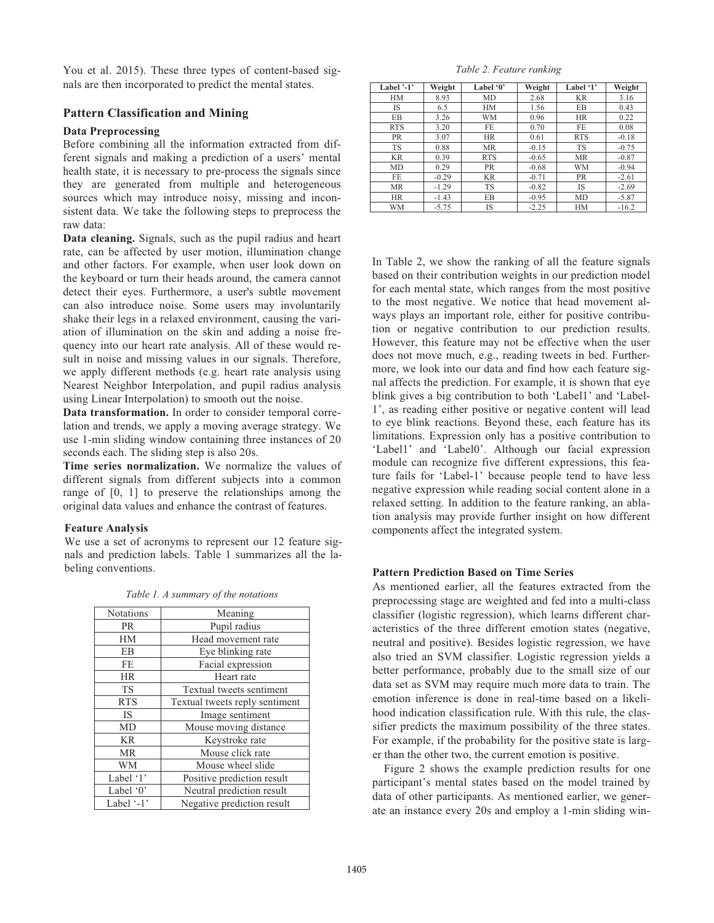You et al. 2015). These three types of content-based signals are then incorporated to predict the mental states.

### **Pattern Classification and Mining**

#### **Data Preprocessing**

Before combining all the information extracted from different signals and making a prediction of a users' mental health state, it is necessary to pre-process the signals since they are generated from multiple and heterogeneous sources which may introduce noisy, missing and inconsistent data. We take the following steps to preprocess the raw data:

**Data cleaning.** Signals, such as the pupil radius and heart rate, can be affected by user motion, illumination change and other factors. For example, when user look down on the keyboard or turn their heads around, the camera cannot detect their eyes. Furthermore, a user's subtle movement can also introduce noise. Some users may involuntarily shake their legs in a relaxed environment, causing the variation of illumination on the skin and adding a noise frequency into our heart rate analysis. All of these would result in noise and missing values in our signals. Therefore, we apply different methods (e.g. heart rate analysis using Nearest Neighbor Interpolation, and pupil radius analysis using Linear Interpolation) to smooth out the noise.

**Data transformation.** In order to consider temporal correlation and trends, we apply a moving average strategy. We use 1-min sliding window containing three instances of 20 seconds each. The sliding step is also 20s.

**Time series normalization.** We normalize the values of different signals from different subjects into a common range of [0, 1] to preserve the relationships among the original data values and enhance the contrast of features.

#### **Feature Analysis**

We use a set of acronyms to represent our 12 feature signals and prediction labels. Table 1 summarizes all the labeling conventions. **Pattern Prediction Based on Time Series** 

| Notations  | Meaning                        |  |  |
|------------|--------------------------------|--|--|
| <b>PR</b>  | Pupil radius                   |  |  |
| HM         | Head movement rate             |  |  |
| EB         | Eye blinking rate              |  |  |
| FE         | Facial expression              |  |  |
| <b>HR</b>  | Heart rate                     |  |  |
| <b>TS</b>  | Textual tweets sentiment       |  |  |
| <b>RTS</b> | Textual tweets reply sentiment |  |  |
| <b>IS</b>  | Image sentiment                |  |  |
| MD         | Mouse moving distance          |  |  |
| <b>KR</b>  | Keystroke rate                 |  |  |
| <b>MR</b>  | Mouse click rate               |  |  |
| WM         | Mouse wheel slide              |  |  |
| Label '1'  | Positive prediction result     |  |  |
| Label '0'  | Neutral prediction result      |  |  |
| Label '-1' | Negative prediction result     |  |  |

*Table 1. A summary of the notations* 

#### *Table 2. Feature ranking*

| Label $-1$ | Weight  | Label '0'  | Weight  | Label '1'  | Weight  |
|------------|---------|------------|---------|------------|---------|
| <b>HM</b>  | 8.93    | MD         | 2.68    | <b>KR</b>  | 3.16    |
| IS         | 6.5     | HM         | 1.56    | EB         | 0.43    |
| EB         | 3.26    | <b>WM</b>  | 0.96    | <b>HR</b>  | 0.22    |
| <b>RTS</b> | 3.20    | FE         | 0.70    | FE         | 0.08    |
| <b>PR</b>  | 3.07    | <b>HR</b>  | 0.61    | <b>RTS</b> | $-0.18$ |
| <b>TS</b>  | 0.88    | <b>MR</b>  | $-0.15$ | <b>TS</b>  | $-0.75$ |
| <b>KR</b>  | 0.39    | <b>RTS</b> | $-0.65$ | MR         | $-0.87$ |
| MD         | 0.29    | <b>PR</b>  | $-0.68$ | <b>WM</b>  | $-0.94$ |
| FE.        | $-0.29$ | <b>KR</b>  | $-0.71$ | PR         | $-2.61$ |
| <b>MR</b>  | $-1.29$ | <b>TS</b>  | $-0.82$ | IS         | $-2.69$ |
| <b>HR</b>  | $-1.43$ | EB         | $-0.95$ | MD         | $-5.87$ |
| WM         | $-5.75$ | IS         | $-2.25$ | <b>HM</b>  | $-16.2$ |

In Table 2, we show the ranking of all the feature signals based on their contribution weights in our prediction model for each mental state, which ranges from the most positive to the most negative. We notice that head movement always plays an important role, either for positive contribution or negative contribution to our prediction results. However, this feature may not be effective when the user does not move much, e.g., reading tweets in bed. Furthermore, we look into our data and find how each feature signal affects the prediction. For example, it is shown that eye blink gives a big contribution to both 'Label1' and 'Label-1', as reading either positive or negative content will lead to eye blink reactions. Beyond these, each feature has its limitations. Expression only has a positive contribution to 'Label1' and 'Label0'. Although our facial expression module can recognize five different expressions, this feature fails for 'Label-1' because people tend to have less negative expression while reading social content alone in a relaxed setting. In addition to the feature ranking, an ablation analysis may provide further insight on how different components affect the integrated system.

As mentioned earlier, all the features extracted from the preprocessing stage are weighted and fed into a multi-class classifier (logistic regression), which learns different characteristics of the three different emotion states (negative, neutral and positive). Besides logistic regression, we have also tried an SVM classifier. Logistic regression yields a better performance, probably due to the small size of our data set as SVM may require much more data to train. The emotion inference is done in real-time based on a likelihood indication classification rule. With this rule, the classifier predicts the maximum possibility of the three states. For example, if the probability for the positive state is larger than the other two, the current emotion is positive.

 Figure 2 shows the example prediction results for one participant's mental states based on the model trained by data of other participants. As mentioned earlier, we generate an instance every 20s and employ a 1-min sliding win-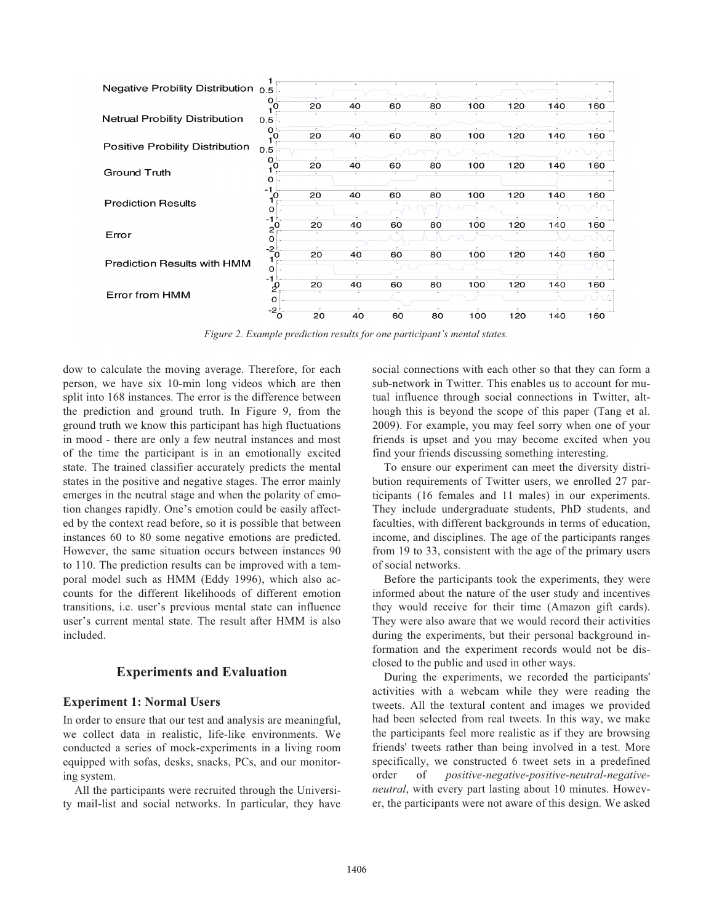

*Figure 2. Example prediction results for one participant's mental states.* 

dow to calculate the moving average. Therefore, for each person, we have six 10-min long videos which are then split into 168 instances. The error is the difference between the prediction and ground truth. In Figure 9, from the ground truth we know this participant has high fluctuations in mood - there are only a few neutral instances and most of the time the participant is in an emotionally excited state. The trained classifier accurately predicts the mental states in the positive and negative stages. The error mainly emerges in the neutral stage and when the polarity of emotion changes rapidly. One's emotion could be easily affected by the context read before, so it is possible that between instances 60 to 80 some negative emotions are predicted. However, the same situation occurs between instances 90 to 110. The prediction results can be improved with a temporal model such as HMM (Eddy 1996), which also accounts for the different likelihoods of different emotion transitions, i.e. user's previous mental state can influence user's current mental state. The result after HMM is also included.

# **Experiments and Evaluation**

# **Experiment 1: Normal Users**

In order to ensure that our test and analysis are meaningful, we collect data in realistic, life-like environments. We conducted a series of mock-experiments in a living room equipped with sofas, desks, snacks, PCs, and our monitoring system.

All the participants were recruited through the University mail-list and social networks. In particular, they have

social connections with each other so that they can form a sub-network in Twitter. This enables us to account for mutual influence through social connections in Twitter, although this is beyond the scope of this paper (Tang et al. 2009). For example, you may feel sorry when one of your friends is upset and you may become excited when you find your friends discussing something interesting.

 To ensure our experiment can meet the diversity distribution requirements of Twitter users, we enrolled 27 participants (16 females and 11 males) in our experiments. They include undergraduate students, PhD students, and faculties, with different backgrounds in terms of education, income, and disciplines. The age of the participants ranges from 19 to 33, consistent with the age of the primary users of social networks.

 Before the participants took the experiments, they were informed about the nature of the user study and incentives they would receive for their time (Amazon gift cards). They were also aware that we would record their activities during the experiments, but their personal background information and the experiment records would not be disclosed to the public and used in other ways.

 During the experiments, we recorded the participants' activities with a webcam while they were reading the tweets. All the textural content and images we provided had been selected from real tweets. In this way, we make the participants feel more realistic as if they are browsing friends' tweets rather than being involved in a test. More specifically, we constructed 6 tweet sets in a predefined order of *positive-negative-positive-neutral-negativeneutral*, with every part lasting about 10 minutes. However, the participants were not aware of this design. We asked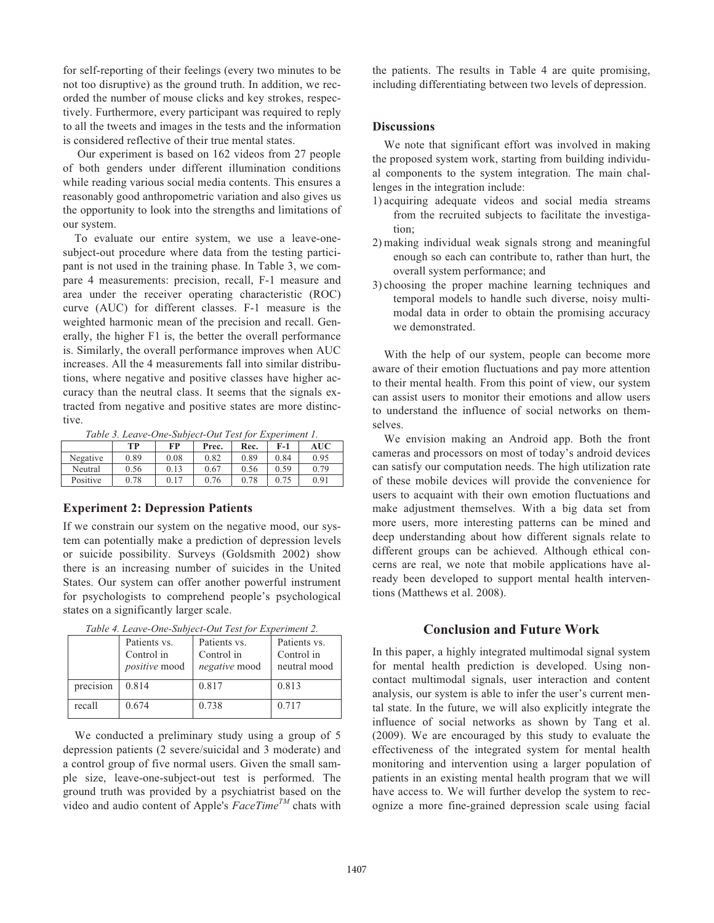for self-reporting of their feelings (every two minutes to be not too disruptive) as the ground truth. In addition, we recorded the number of mouse clicks and key strokes, respectively. Furthermore, every participant was required to reply to all the tweets and images in the tests and the information is considered reflective of their true mental states.

 Our experiment is based on 162 videos from 27 people of both genders under different illumination conditions while reading various social media contents. This ensures a reasonably good anthropometric variation and also gives us the opportunity to look into the strengths and limitations of our system.

 To evaluate our entire system, we use a leave-onesubject-out procedure where data from the testing participant is not used in the training phase. In Table 3, we compare 4 measurements: precision, recall, F-1 measure and area under the receiver operating characteristic (ROC) curve (AUC) for different classes. F-1 measure is the weighted harmonic mean of the precision and recall. Generally, the higher F1 is, the better the overall performance is. Similarly, the overall performance improves when AUC increases. All the 4 measurements fall into similar distributions, where negative and positive classes have higher accuracy than the neutral class. It seems that the signals extracted from negative and positive states are more distinctive.

*Table 3. Leave-One-Subject-Out Test for Experiment 1.* 

|          | TР   | FP   | Prec. | Rec. | $F-1$ | AUC  |
|----------|------|------|-------|------|-------|------|
| Negative | 0.89 | 0.08 | 0.82  | 0.89 | 0.84  | 0.95 |
| Neutral  | 0.56 | 0.13 | 0.67  | 0.56 | 0.59  | 0.79 |
| Positive | 0.78 | 0.17 | 0.76  | 0.78 | 0.75  | 0.91 |

#### **Experiment 2: Depression Patients**

If we constrain our system on the negative mood, our system can potentially make a prediction of depression levels or suicide possibility. Surveys (Goldsmith 2002) show there is an increasing number of suicides in the United States. Our system can offer another powerful instrument for psychologists to comprehend people's psychological states on a significantly larger scale.

|           | Patients vs.<br>Control in<br><i>positive</i> mood | Tubic <i>i</i> : Leave one bablect out for Luperanear L.<br>Patients vs.<br>Control in<br><i>negative</i> mood | Patients vs.<br>Control in<br>neutral mood |
|-----------|----------------------------------------------------|----------------------------------------------------------------------------------------------------------------|--------------------------------------------|
| precision | 0.814                                              | 0.817                                                                                                          | 0.813                                      |
| recall    | 0.674                                              | 0.738                                                                                                          | 0.717                                      |

*Table 4. Leave-One-Subject-Out Test for Experiment 2.* 

 We conducted a preliminary study using a group of 5 depression patients (2 severe/suicidal and 3 moderate) and a control group of five normal users. Given the small sample size, leave-one-subject-out test is performed. The ground truth was provided by a psychiatrist based on the video and audio content of Apple's *FaceTimeTM* chats with the patients. The results in Table 4 are quite promising, including differentiating between two levels of depression.

### **Discussions**

 We note that significant effort was involved in making the proposed system work, starting from building individual components to the system integration. The main challenges in the integration include:

- 1) acquiring adequate videos and social media streams from the recruited subjects to facilitate the investigation;
- 2) making individual weak signals strong and meaningful enough so each can contribute to, rather than hurt, the overall system performance; and
- 3) choosing the proper machine learning techniques and temporal models to handle such diverse, noisy multimodal data in order to obtain the promising accuracy we demonstrated.

 With the help of our system, people can become more aware of their emotion fluctuations and pay more attention to their mental health. From this point of view, our system can assist users to monitor their emotions and allow users to understand the influence of social networks on themselves.

 We envision making an Android app. Both the front cameras and processors on most of today's android devices can satisfy our computation needs. The high utilization rate of these mobile devices will provide the convenience for users to acquaint with their own emotion fluctuations and make adjustment themselves. With a big data set from more users, more interesting patterns can be mined and deep understanding about how different signals relate to different groups can be achieved. Although ethical concerns are real, we note that mobile applications have already been developed to support mental health interventions (Matthews et al. 2008).

# **Conclusion and Future Work**

In this paper, a highly integrated multimodal signal system for mental health prediction is developed. Using noncontact multimodal signals, user interaction and content analysis, our system is able to infer the user's current mental state. In the future, we will also explicitly integrate the influence of social networks as shown by Tang et al. (2009). We are encouraged by this study to evaluate the effectiveness of the integrated system for mental health monitoring and intervention using a larger population of patients in an existing mental health program that we will have access to. We will further develop the system to recognize a more fine-grained depression scale using facial